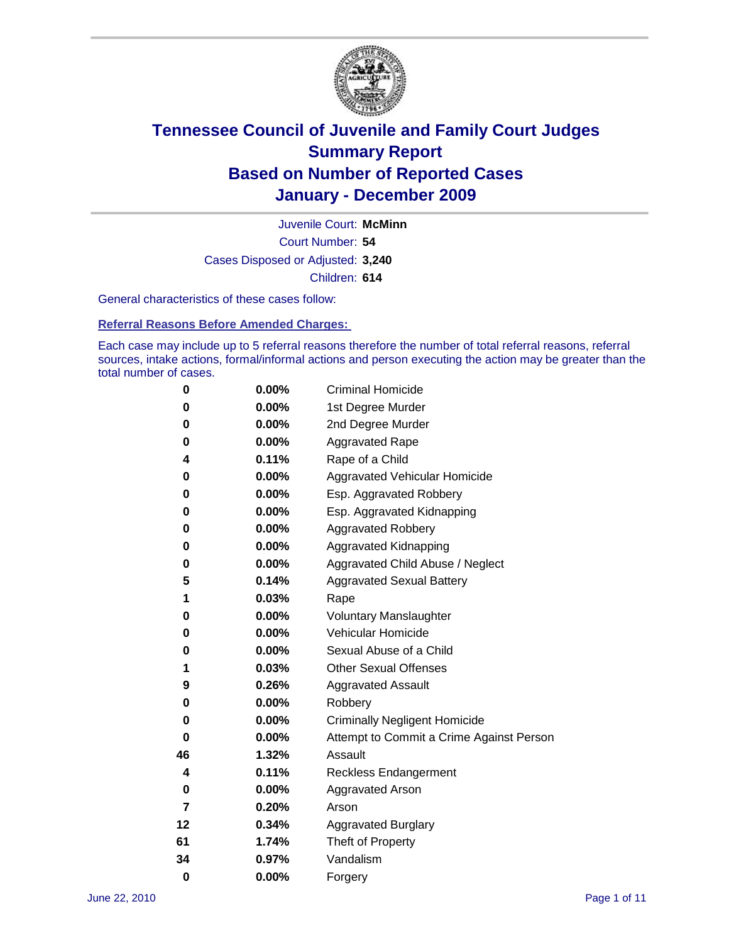

Court Number: **54** Juvenile Court: **McMinn** Cases Disposed or Adjusted: **3,240** Children: **614**

General characteristics of these cases follow:

**Referral Reasons Before Amended Charges:** 

Each case may include up to 5 referral reasons therefore the number of total referral reasons, referral sources, intake actions, formal/informal actions and person executing the action may be greater than the total number of cases.

| 0  | 0.00%    | <b>Criminal Homicide</b>                 |
|----|----------|------------------------------------------|
| 0  | 0.00%    | 1st Degree Murder                        |
| 0  | 0.00%    | 2nd Degree Murder                        |
| 0  | 0.00%    | <b>Aggravated Rape</b>                   |
| 4  | 0.11%    | Rape of a Child                          |
| 0  | 0.00%    | Aggravated Vehicular Homicide            |
| 0  | 0.00%    | Esp. Aggravated Robbery                  |
| 0  | 0.00%    | Esp. Aggravated Kidnapping               |
| 0  | 0.00%    | <b>Aggravated Robbery</b>                |
| 0  | 0.00%    | Aggravated Kidnapping                    |
| 0  | 0.00%    | Aggravated Child Abuse / Neglect         |
| 5  | 0.14%    | <b>Aggravated Sexual Battery</b>         |
| 1  | 0.03%    | Rape                                     |
| 0  | $0.00\%$ | <b>Voluntary Manslaughter</b>            |
| 0  | 0.00%    | Vehicular Homicide                       |
| 0  | 0.00%    | Sexual Abuse of a Child                  |
| 1  | 0.03%    | <b>Other Sexual Offenses</b>             |
| 9  | 0.26%    | <b>Aggravated Assault</b>                |
| 0  | $0.00\%$ | Robbery                                  |
| 0  | 0.00%    | <b>Criminally Negligent Homicide</b>     |
| 0  | 0.00%    | Attempt to Commit a Crime Against Person |
| 46 | 1.32%    | Assault                                  |
| 4  | 0.11%    | <b>Reckless Endangerment</b>             |
| 0  | 0.00%    | <b>Aggravated Arson</b>                  |
| 7  | 0.20%    | Arson                                    |
| 12 | 0.34%    | <b>Aggravated Burglary</b>               |
| 61 | 1.74%    | Theft of Property                        |
| 34 | 0.97%    | Vandalism                                |
| 0  | 0.00%    | Forgery                                  |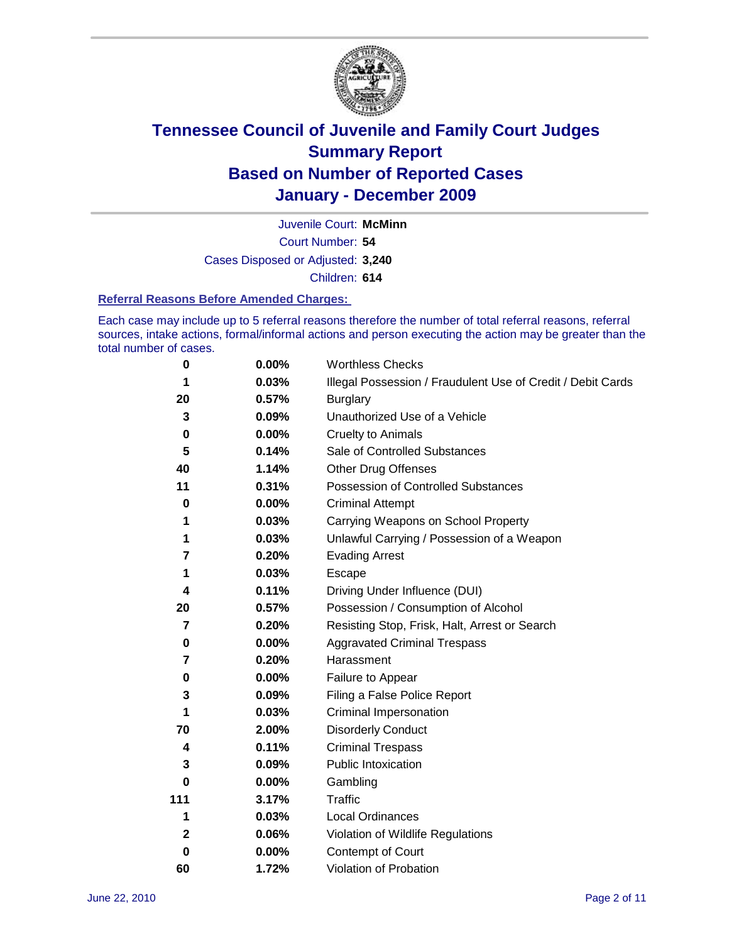

Court Number: **54** Juvenile Court: **McMinn** Cases Disposed or Adjusted: **3,240** Children: **614**

#### **Referral Reasons Before Amended Charges:**

Each case may include up to 5 referral reasons therefore the number of total referral reasons, referral sources, intake actions, formal/informal actions and person executing the action may be greater than the total number of cases.

| $\pmb{0}$   | 0.00%    | <b>Worthless Checks</b>                                     |
|-------------|----------|-------------------------------------------------------------|
| 1           | 0.03%    | Illegal Possession / Fraudulent Use of Credit / Debit Cards |
| 20          | 0.57%    | <b>Burglary</b>                                             |
| 3           | 0.09%    | Unauthorized Use of a Vehicle                               |
| $\pmb{0}$   | $0.00\%$ | <b>Cruelty to Animals</b>                                   |
| 5           | 0.14%    | Sale of Controlled Substances                               |
| 40          | 1.14%    | <b>Other Drug Offenses</b>                                  |
| 11          | 0.31%    | Possession of Controlled Substances                         |
| $\mathbf 0$ | $0.00\%$ | <b>Criminal Attempt</b>                                     |
| 1           | 0.03%    | Carrying Weapons on School Property                         |
| 1           | 0.03%    | Unlawful Carrying / Possession of a Weapon                  |
| 7           | 0.20%    | <b>Evading Arrest</b>                                       |
| 1           | 0.03%    | Escape                                                      |
| 4           | 0.11%    | Driving Under Influence (DUI)                               |
| 20          | 0.57%    | Possession / Consumption of Alcohol                         |
| 7           | 0.20%    | Resisting Stop, Frisk, Halt, Arrest or Search               |
| 0           | $0.00\%$ | <b>Aggravated Criminal Trespass</b>                         |
| 7           | 0.20%    | Harassment                                                  |
| $\pmb{0}$   | 0.00%    | Failure to Appear                                           |
| 3           | 0.09%    | Filing a False Police Report                                |
| 1           | 0.03%    | Criminal Impersonation                                      |
| 70          | 2.00%    | <b>Disorderly Conduct</b>                                   |
| 4           | 0.11%    | <b>Criminal Trespass</b>                                    |
| 3           | 0.09%    | <b>Public Intoxication</b>                                  |
| 0           | $0.00\%$ | Gambling                                                    |
| 111         | 3.17%    | <b>Traffic</b>                                              |
| 1           | 0.03%    | Local Ordinances                                            |
| 2           | 0.06%    | Violation of Wildlife Regulations                           |
| 0           | $0.00\%$ | Contempt of Court                                           |
| 60          | 1.72%    | Violation of Probation                                      |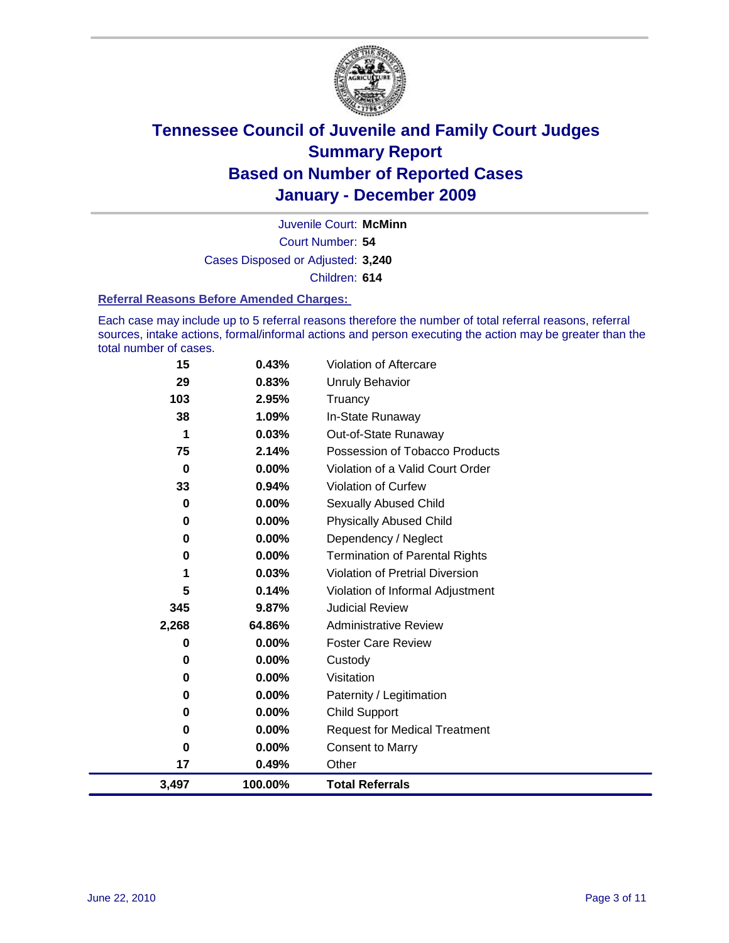

Court Number: **54** Juvenile Court: **McMinn** Cases Disposed or Adjusted: **3,240** Children: **614**

#### **Referral Reasons Before Amended Charges:**

Each case may include up to 5 referral reasons therefore the number of total referral reasons, referral sources, intake actions, formal/informal actions and person executing the action may be greater than the total number of cases.

| 15       | 0.43%   | Violation of Aftercare                 |
|----------|---------|----------------------------------------|
| 29       | 0.83%   | <b>Unruly Behavior</b>                 |
| 103      | 2.95%   | Truancy                                |
| 38       | 1.09%   | In-State Runaway                       |
| 1        | 0.03%   | Out-of-State Runaway                   |
| 75       | 2.14%   | Possession of Tobacco Products         |
| 0        | 0.00%   | Violation of a Valid Court Order       |
| 33       | 0.94%   | Violation of Curfew                    |
| 0        | 0.00%   | Sexually Abused Child                  |
| 0        | 0.00%   | <b>Physically Abused Child</b>         |
| 0        | 0.00%   | Dependency / Neglect                   |
| $\bf{0}$ | 0.00%   | <b>Termination of Parental Rights</b>  |
| 1        | 0.03%   | <b>Violation of Pretrial Diversion</b> |
| 5        | 0.14%   | Violation of Informal Adjustment       |
| 345      | 9.87%   | <b>Judicial Review</b>                 |
| 2,268    | 64.86%  | <b>Administrative Review</b>           |
| 0        | 0.00%   | <b>Foster Care Review</b>              |
| 0        | 0.00%   | Custody                                |
| 0        | 0.00%   | Visitation                             |
| 0        | 0.00%   | Paternity / Legitimation               |
| 0        | 0.00%   | <b>Child Support</b>                   |
| $\bf{0}$ | 0.00%   | <b>Request for Medical Treatment</b>   |
| 0        | 0.00%   | <b>Consent to Marry</b>                |
| 17       | 0.49%   | Other                                  |
| 3,497    | 100.00% | <b>Total Referrals</b>                 |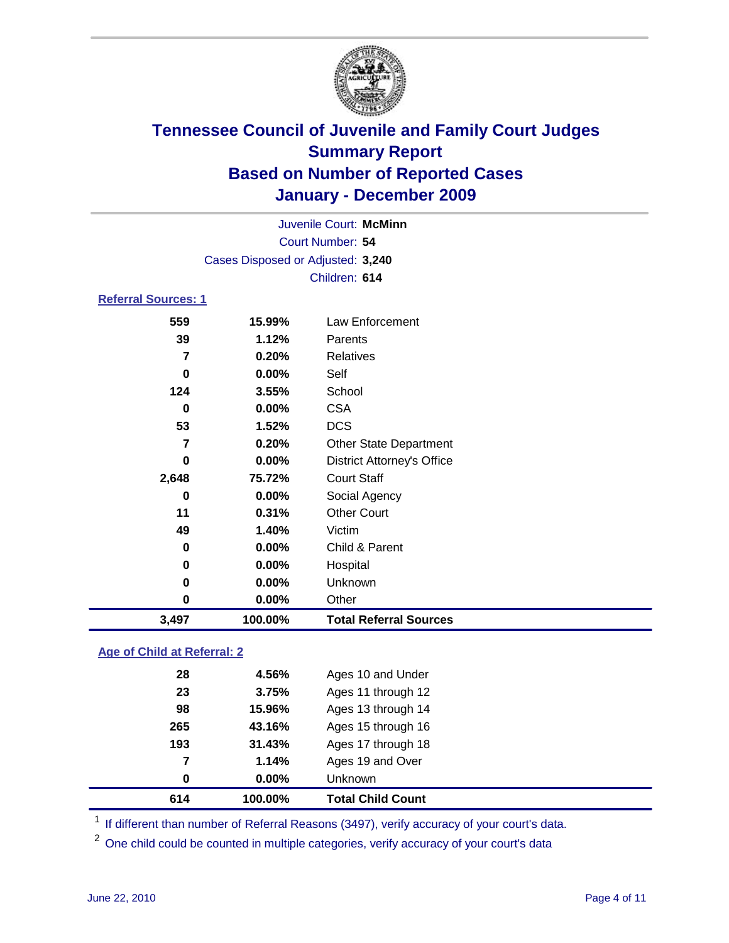

| Juvenile Court: McMinn     |                                   |                                   |  |  |
|----------------------------|-----------------------------------|-----------------------------------|--|--|
| Court Number: 54           |                                   |                                   |  |  |
|                            | Cases Disposed or Adjusted: 3,240 |                                   |  |  |
|                            |                                   | Children: 614                     |  |  |
| <b>Referral Sources: 1</b> |                                   |                                   |  |  |
| 559                        | 15.99%                            | <b>Law Enforcement</b>            |  |  |
| 39                         | 1.12%                             | Parents                           |  |  |
| $\overline{\mathbf{z}}$    | 0.20%                             | Relatives                         |  |  |
| 0                          | 0.00%                             | Self                              |  |  |
| 124                        | 3.55%                             | School                            |  |  |
| 0                          | 0.00%                             | <b>CSA</b>                        |  |  |
| 53                         | 1.52%                             | <b>DCS</b>                        |  |  |
| 7                          | 0.20%                             | <b>Other State Department</b>     |  |  |
| 0                          | $0.00\%$                          | <b>District Attorney's Office</b> |  |  |
| 2,648                      | 75.72%                            | <b>Court Staff</b>                |  |  |
| 0                          | 0.00%                             | Social Agency                     |  |  |
| 11                         | 0.31%                             | <b>Other Court</b>                |  |  |
| 49                         | 1.40%                             | Victim                            |  |  |
| 0                          | 0.00%                             | Child & Parent                    |  |  |
| 0                          | 0.00%                             | Hospital                          |  |  |
| 0                          | 0.00%                             | Unknown                           |  |  |
| 0                          | 0.00%                             | Other                             |  |  |
| 3,497                      | 100.00%                           | <b>Total Referral Sources</b>     |  |  |
|                            |                                   |                                   |  |  |

### **Age of Child at Referral: 2**

| 614 | 100.00%  | <b>Total Child Count</b> |
|-----|----------|--------------------------|
| 0   | $0.00\%$ | <b>Unknown</b>           |
| 7   | 1.14%    | Ages 19 and Over         |
| 193 | 31.43%   | Ages 17 through 18       |
| 265 | 43.16%   | Ages 15 through 16       |
| 98  | 15.96%   | Ages 13 through 14       |
| 23  | 3.75%    | Ages 11 through 12       |
| 28  | 4.56%    | Ages 10 and Under        |
|     |          |                          |

<sup>1</sup> If different than number of Referral Reasons (3497), verify accuracy of your court's data.

<sup>2</sup> One child could be counted in multiple categories, verify accuracy of your court's data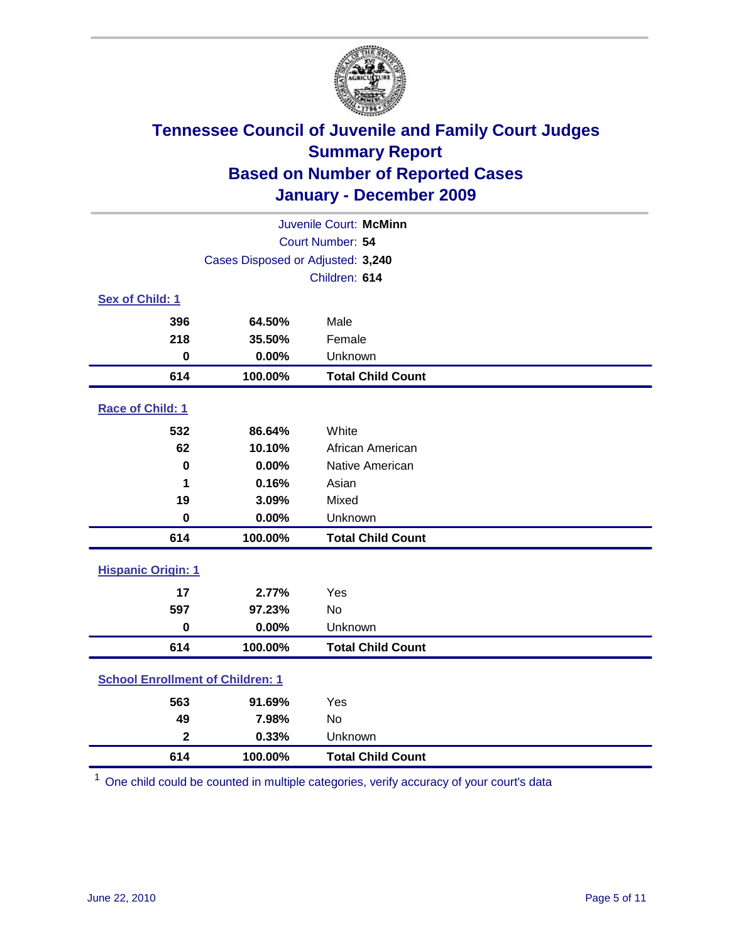

| Juvenile Court: McMinn                  |                                   |                          |  |  |
|-----------------------------------------|-----------------------------------|--------------------------|--|--|
|                                         | Court Number: 54                  |                          |  |  |
|                                         | Cases Disposed or Adjusted: 3,240 |                          |  |  |
|                                         |                                   | Children: 614            |  |  |
| Sex of Child: 1                         |                                   |                          |  |  |
| 396                                     | 64.50%                            | Male                     |  |  |
| 218                                     | 35.50%                            | Female                   |  |  |
| $\mathbf 0$                             | 0.00%                             | Unknown                  |  |  |
| 614                                     | 100.00%                           | <b>Total Child Count</b> |  |  |
| Race of Child: 1                        |                                   |                          |  |  |
| 532                                     | 86.64%                            | White                    |  |  |
| 62                                      | 10.10%                            | African American         |  |  |
| $\mathbf 0$                             | 0.00%                             | Native American          |  |  |
| 1                                       | 0.16%                             | Asian                    |  |  |
| 19                                      | 3.09%                             | Mixed                    |  |  |
| $\mathbf 0$                             | 0.00%                             | Unknown                  |  |  |
| 614                                     | 100.00%                           | <b>Total Child Count</b> |  |  |
| <b>Hispanic Origin: 1</b>               |                                   |                          |  |  |
| 17                                      | 2.77%                             | Yes                      |  |  |
| 597                                     | 97.23%                            | No                       |  |  |
| $\mathbf 0$                             | 0.00%                             | Unknown                  |  |  |
| 614                                     | 100.00%                           | <b>Total Child Count</b> |  |  |
| <b>School Enrollment of Children: 1</b> |                                   |                          |  |  |
| 563                                     | 91.69%                            | Yes                      |  |  |
| 49                                      | 7.98%                             | No                       |  |  |
| $\overline{\mathbf{2}}$                 | 0.33%                             | Unknown                  |  |  |
| 614                                     | 100.00%                           | <b>Total Child Count</b> |  |  |

One child could be counted in multiple categories, verify accuracy of your court's data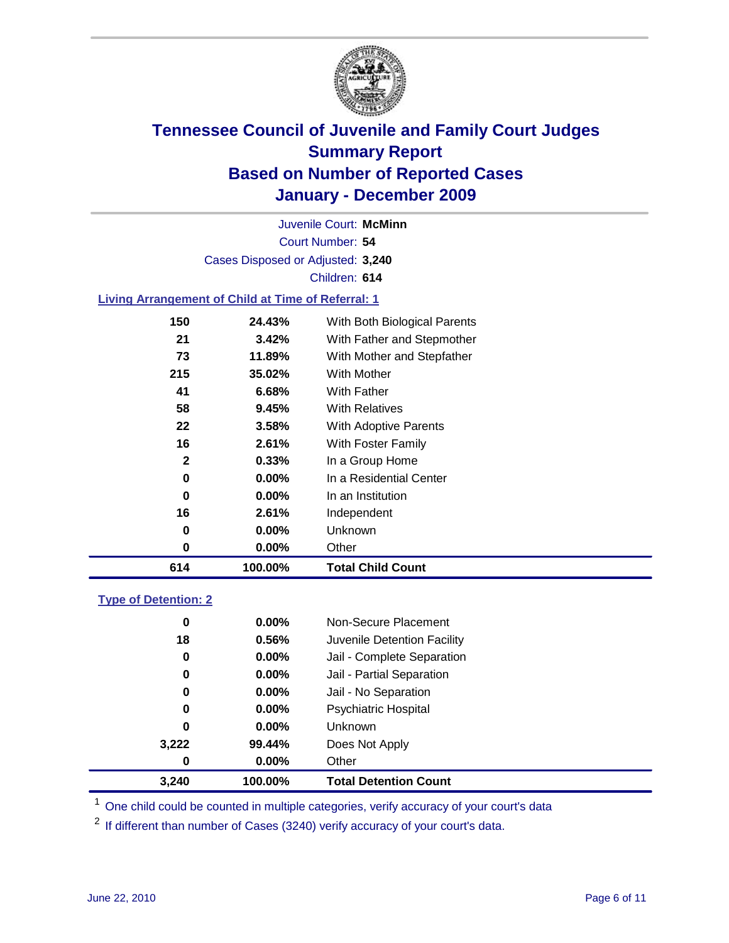

Court Number: **54** Juvenile Court: **McMinn** Cases Disposed or Adjusted: **3,240** Children: **614**

### **Living Arrangement of Child at Time of Referral: 1**

| 614 | 100.00%  | <b>Total Child Count</b>     |  |
|-----|----------|------------------------------|--|
| 0   | $0.00\%$ | Other                        |  |
| 0   | $0.00\%$ | <b>Unknown</b>               |  |
| 16  | 2.61%    | Independent                  |  |
| 0   | $0.00\%$ | In an Institution            |  |
| 0   | $0.00\%$ | In a Residential Center      |  |
| 2   | 0.33%    | In a Group Home              |  |
| 16  | 2.61%    | With Foster Family           |  |
| 22  | 3.58%    | With Adoptive Parents        |  |
| 58  | 9.45%    | <b>With Relatives</b>        |  |
| 41  | 6.68%    | With Father                  |  |
| 215 | 35.02%   | <b>With Mother</b>           |  |
| 73  | 11.89%   | With Mother and Stepfather   |  |
| 21  | 3.42%    | With Father and Stepmother   |  |
| 150 | 24.43%   | With Both Biological Parents |  |
|     |          |                              |  |

### **Type of Detention: 2**

| 3.240 | 100.00%  | <b>Total Detention Count</b> |
|-------|----------|------------------------------|
| 0     | $0.00\%$ | Other                        |
| 3,222 | 99.44%   | Does Not Apply               |
| 0     | $0.00\%$ | <b>Unknown</b>               |
| 0     | $0.00\%$ | <b>Psychiatric Hospital</b>  |
| 0     | 0.00%    | Jail - No Separation         |
| 0     | $0.00\%$ | Jail - Partial Separation    |
| 0     | $0.00\%$ | Jail - Complete Separation   |
| 18    | 0.56%    | Juvenile Detention Facility  |
| 0     | $0.00\%$ | Non-Secure Placement         |
|       |          |                              |

<sup>1</sup> One child could be counted in multiple categories, verify accuracy of your court's data

<sup>2</sup> If different than number of Cases (3240) verify accuracy of your court's data.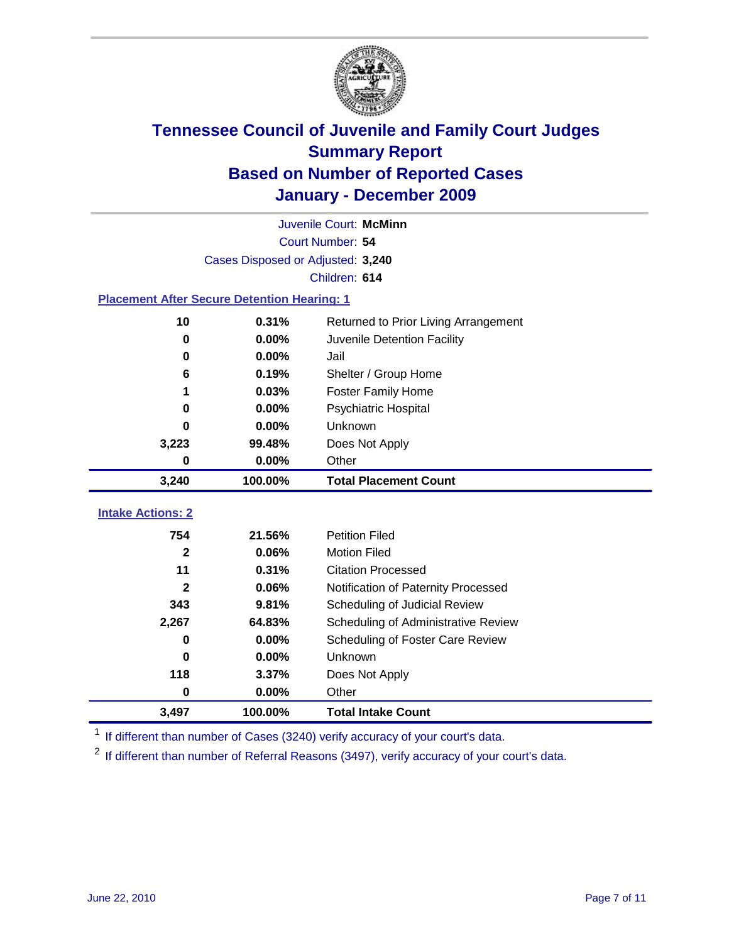

| Juvenile Court: McMinn                             |                                   |                                      |  |  |  |
|----------------------------------------------------|-----------------------------------|--------------------------------------|--|--|--|
|                                                    | Court Number: 54                  |                                      |  |  |  |
|                                                    | Cases Disposed or Adjusted: 3,240 |                                      |  |  |  |
|                                                    |                                   | Children: 614                        |  |  |  |
| <b>Placement After Secure Detention Hearing: 1</b> |                                   |                                      |  |  |  |
| 10                                                 | 0.31%                             | Returned to Prior Living Arrangement |  |  |  |
| $\bf{0}$                                           | 0.00%                             | Juvenile Detention Facility          |  |  |  |
| 0                                                  | 0.00%                             | Jail                                 |  |  |  |
| 6                                                  | 0.19%                             | Shelter / Group Home                 |  |  |  |
| 1                                                  | 0.03%                             | <b>Foster Family Home</b>            |  |  |  |
| 0                                                  | 0.00%                             | Psychiatric Hospital                 |  |  |  |
| 0                                                  | 0.00%                             | Unknown                              |  |  |  |
| 3,223                                              | 99.48%                            | Does Not Apply                       |  |  |  |
| 0                                                  | 0.00%                             | Other                                |  |  |  |
| 3,240                                              | 100.00%                           | <b>Total Placement Count</b>         |  |  |  |
|                                                    |                                   |                                      |  |  |  |
| <b>Intake Actions: 2</b>                           |                                   |                                      |  |  |  |
| 754                                                | 21.56%                            | <b>Petition Filed</b>                |  |  |  |
| $\mathbf{2}$                                       | 0.06%                             | <b>Motion Filed</b>                  |  |  |  |
| 11                                                 | 0.31%                             | <b>Citation Processed</b>            |  |  |  |
| $\mathbf{2}$                                       | 0.06%                             | Notification of Paternity Processed  |  |  |  |
| 343                                                | 9.81%                             | Scheduling of Judicial Review        |  |  |  |
| 2,267                                              | 64.83%                            | Scheduling of Administrative Review  |  |  |  |
| 0                                                  | $0.00\%$                          | Scheduling of Foster Care Review     |  |  |  |
| 0                                                  | 0.00%                             | Unknown                              |  |  |  |
| 118                                                | 3.37%                             | Does Not Apply                       |  |  |  |
| $\pmb{0}$                                          | 0.00%                             | Other                                |  |  |  |
| 3,497                                              | 100.00%                           | <b>Total Intake Count</b>            |  |  |  |

<sup>1</sup> If different than number of Cases (3240) verify accuracy of your court's data.

<sup>2</sup> If different than number of Referral Reasons (3497), verify accuracy of your court's data.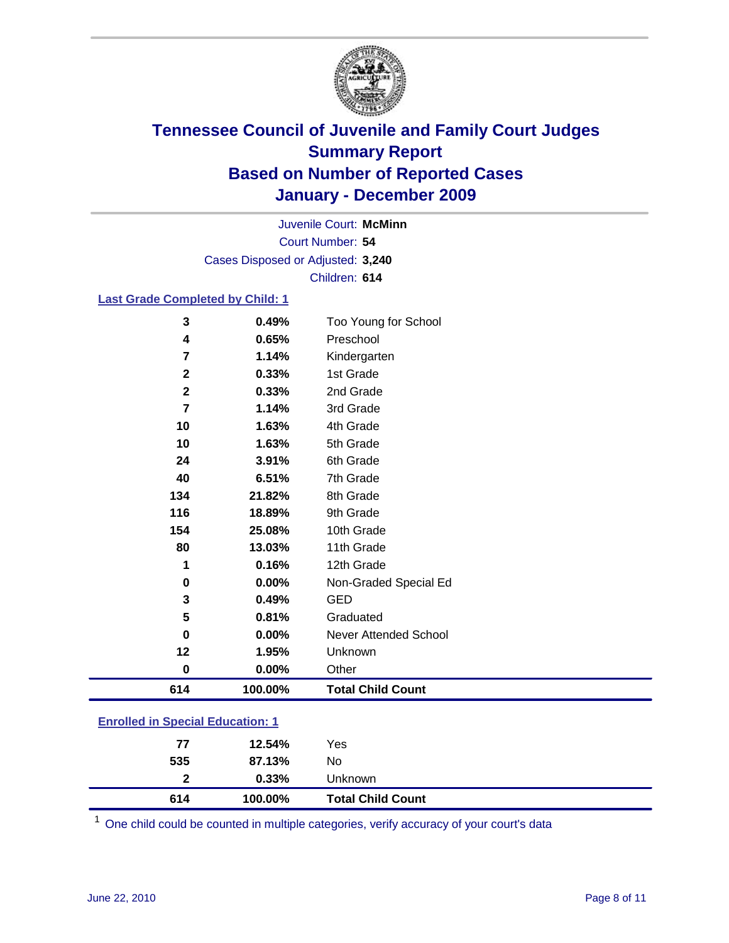

Court Number: **54** Juvenile Court: **McMinn** Cases Disposed or Adjusted: **3,240** Children: **614**

### **Last Grade Completed by Child: 1**

| 3                                       | 0.49%   | Too Young for School         |  |
|-----------------------------------------|---------|------------------------------|--|
| 4                                       | 0.65%   | Preschool                    |  |
| 7                                       | 1.14%   | Kindergarten                 |  |
| $\mathbf 2$                             | 0.33%   | 1st Grade                    |  |
| $\mathbf{2}$                            | 0.33%   | 2nd Grade                    |  |
| 7                                       | 1.14%   | 3rd Grade                    |  |
| 10                                      | 1.63%   | 4th Grade                    |  |
| 10                                      | 1.63%   | 5th Grade                    |  |
| 24                                      | 3.91%   | 6th Grade                    |  |
| 40                                      | 6.51%   | 7th Grade                    |  |
| 134                                     | 21.82%  | 8th Grade                    |  |
| 116                                     | 18.89%  | 9th Grade                    |  |
| 154                                     | 25.08%  | 10th Grade                   |  |
| 80                                      | 13.03%  | 11th Grade                   |  |
| 1                                       | 0.16%   | 12th Grade                   |  |
| 0                                       | 0.00%   | Non-Graded Special Ed        |  |
| 3                                       | 0.49%   | <b>GED</b>                   |  |
| 5                                       | 0.81%   | Graduated                    |  |
| $\bf{0}$                                | 0.00%   | <b>Never Attended School</b> |  |
| 12                                      | 1.95%   | Unknown                      |  |
| $\bf{0}$                                | 0.00%   | Other                        |  |
| 614                                     | 100.00% | <b>Total Child Count</b>     |  |
| <b>Enrolled in Special Education: 1</b> |         |                              |  |

| 614            | 100.00% | <b>Total Child Count</b> |  |
|----------------|---------|--------------------------|--|
| $\overline{2}$ | 0.33%   | <b>Unknown</b>           |  |
| 535            | 87.13%  | No                       |  |
| 77             | 12.54%  | Yes                      |  |
|                |         |                          |  |

One child could be counted in multiple categories, verify accuracy of your court's data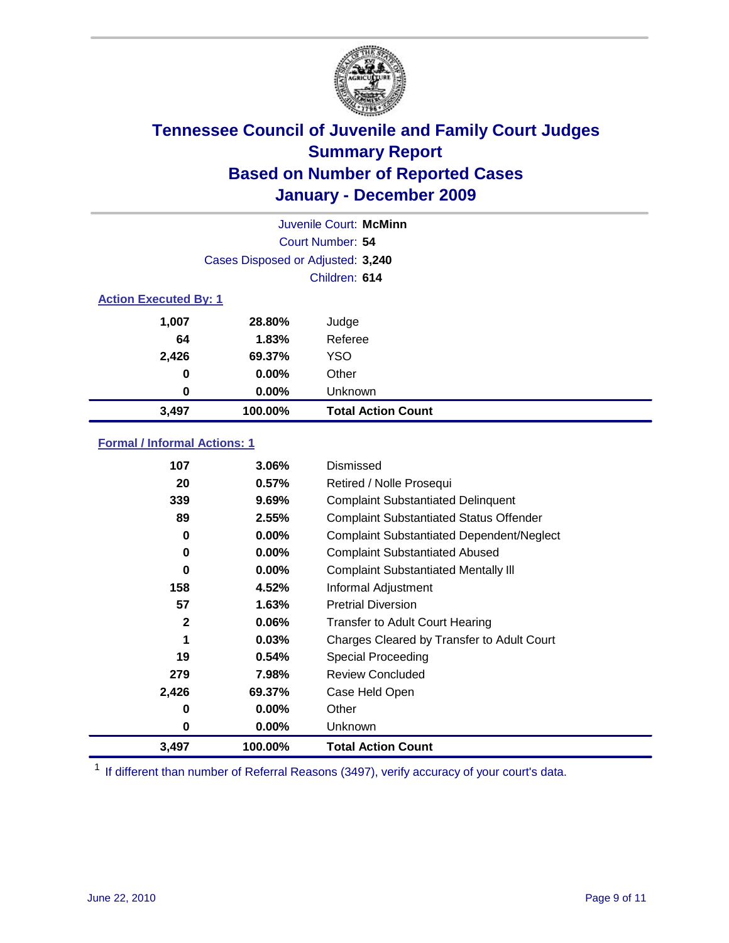

|                              | Juvenile Court: McMinn            |                           |  |  |
|------------------------------|-----------------------------------|---------------------------|--|--|
|                              | Court Number: 54                  |                           |  |  |
|                              | Cases Disposed or Adjusted: 3,240 |                           |  |  |
|                              |                                   | Children: 614             |  |  |
| <b>Action Executed By: 1</b> |                                   |                           |  |  |
| 1,007                        | 28.80%                            | Judge                     |  |  |
| 64                           | 1.83%                             | Referee                   |  |  |
| 2,426                        | 69.37%                            | <b>YSO</b>                |  |  |
| 0                            | 0.00%                             | Other                     |  |  |
| 0                            | 0.00%                             | Unknown                   |  |  |
| 3,497                        | 100.00%                           | <b>Total Action Count</b> |  |  |

### **Formal / Informal Actions: 1**

| 107          | 3.06%    | Dismissed                                        |
|--------------|----------|--------------------------------------------------|
| 20           | 0.57%    | Retired / Nolle Prosequi                         |
| 339          | 9.69%    | <b>Complaint Substantiated Delinquent</b>        |
| 89           | 2.55%    | <b>Complaint Substantiated Status Offender</b>   |
| 0            | 0.00%    | <b>Complaint Substantiated Dependent/Neglect</b> |
| 0            | $0.00\%$ | <b>Complaint Substantiated Abused</b>            |
| 0            | $0.00\%$ | <b>Complaint Substantiated Mentally III</b>      |
| 158          | 4.52%    | Informal Adjustment                              |
| 57           | 1.63%    | <b>Pretrial Diversion</b>                        |
| $\mathbf{2}$ | 0.06%    | <b>Transfer to Adult Court Hearing</b>           |
| 1            | 0.03%    | Charges Cleared by Transfer to Adult Court       |
| 19           | 0.54%    | Special Proceeding                               |
| 279          | 7.98%    | <b>Review Concluded</b>                          |
| 2,426        | 69.37%   | Case Held Open                                   |
| 0            | $0.00\%$ | Other                                            |
| 0            | $0.00\%$ | <b>Unknown</b>                                   |
| 3,497        | 100.00%  | <b>Total Action Count</b>                        |

<sup>1</sup> If different than number of Referral Reasons (3497), verify accuracy of your court's data.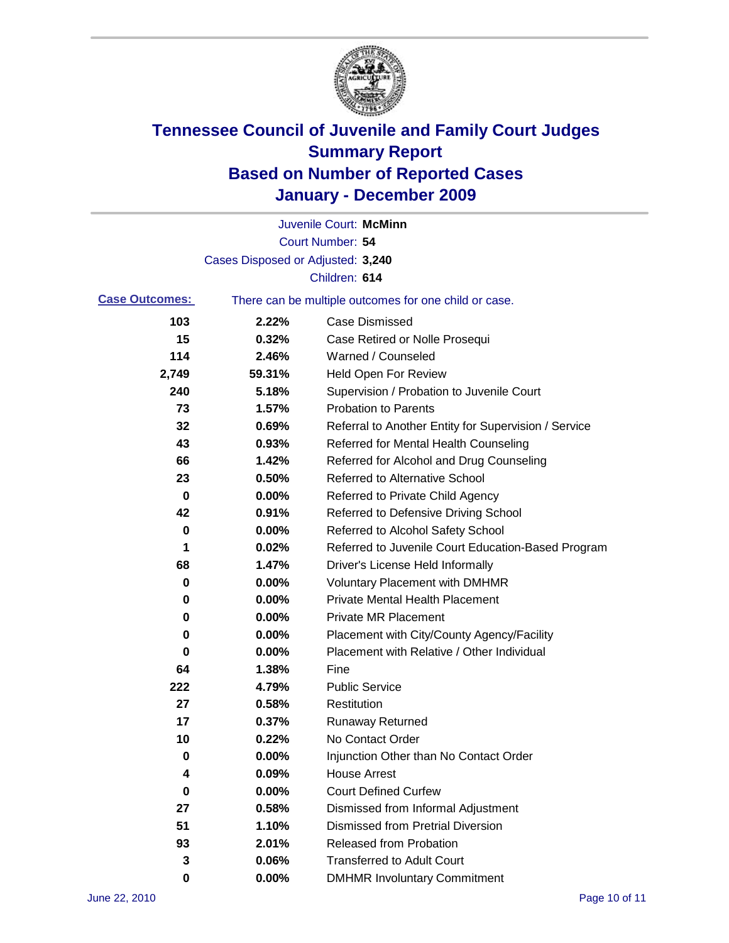

|                       |                                   | Juvenile Court: McMinn                                |
|-----------------------|-----------------------------------|-------------------------------------------------------|
|                       |                                   | Court Number: 54                                      |
|                       | Cases Disposed or Adjusted: 3,240 |                                                       |
|                       |                                   | Children: 614                                         |
| <b>Case Outcomes:</b> |                                   | There can be multiple outcomes for one child or case. |
| 103                   | 2.22%                             | <b>Case Dismissed</b>                                 |
| 15                    | 0.32%                             | Case Retired or Nolle Prosequi                        |
| 114                   | 2.46%                             | Warned / Counseled                                    |
| 2,749                 | 59.31%                            | <b>Held Open For Review</b>                           |
| 240                   | 5.18%                             | Supervision / Probation to Juvenile Court             |
| 73                    | 1.57%                             | <b>Probation to Parents</b>                           |
| 32                    | 0.69%                             | Referral to Another Entity for Supervision / Service  |
| 43                    | 0.93%                             | Referred for Mental Health Counseling                 |
| 66                    | 1.42%                             | Referred for Alcohol and Drug Counseling              |
| 23                    | 0.50%                             | <b>Referred to Alternative School</b>                 |
| 0                     | 0.00%                             | Referred to Private Child Agency                      |
| 42                    | 0.91%                             | Referred to Defensive Driving School                  |
| 0                     | 0.00%                             | Referred to Alcohol Safety School                     |
| 1                     | 0.02%                             | Referred to Juvenile Court Education-Based Program    |
| 68                    | 1.47%                             | Driver's License Held Informally                      |
| 0                     | 0.00%                             | <b>Voluntary Placement with DMHMR</b>                 |
| 0                     | 0.00%                             | <b>Private Mental Health Placement</b>                |
| 0                     | 0.00%                             | <b>Private MR Placement</b>                           |
| 0                     | 0.00%                             | Placement with City/County Agency/Facility            |
| 0                     | 0.00%                             | Placement with Relative / Other Individual            |
| 64                    | 1.38%                             | Fine                                                  |
| 222                   | 4.79%                             | <b>Public Service</b>                                 |
| 27                    | 0.58%                             | Restitution                                           |
| 17                    | 0.37%                             | <b>Runaway Returned</b>                               |
| 10                    | 0.22%                             | No Contact Order                                      |
| 0                     | 0.00%                             | Injunction Other than No Contact Order                |
| 4                     | 0.09%                             | <b>House Arrest</b>                                   |
| 0                     | 0.00%                             | <b>Court Defined Curfew</b>                           |
| 27                    | 0.58%                             | Dismissed from Informal Adjustment                    |
| 51                    | 1.10%                             | <b>Dismissed from Pretrial Diversion</b>              |
| 93                    | 2.01%                             | Released from Probation                               |
| 3                     | 0.06%                             | <b>Transferred to Adult Court</b>                     |
| 0                     | $0.00\%$                          | <b>DMHMR Involuntary Commitment</b>                   |